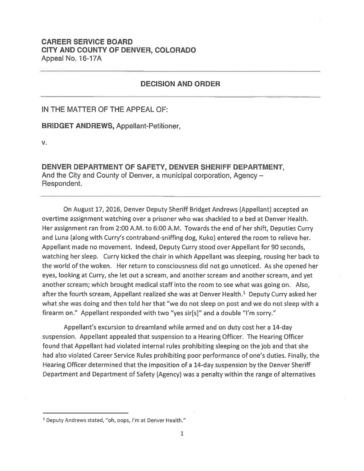## **CAREER SERVICE BOARD CITY AND COUNTY OF DENVER, COLORADO**  Appeal No. 16-17A

## **DECISION AND ORDER**

IN THE MATTER OF THE APPEAL OF:

**BRIDGET ANDREWS,** Appellant-Petitioner,

**v.** 

**DENVER DEPARTMENT OF SAFETY, DENVER SHERIFF DEPARTMENT,**  And the City and County of Denver, a municipal corporation, Agency -Respondent.

On August 17, 2016, Denver Deputy Sheriff Bridget Andrews (Appellant) accepted an overtime assignment watching over a prisoner who was shackled to a bed at Denver Health. Her assignment ran from 2:00 A.M. to 6:00 A.M. Towards the end of her shift, Deputies Curry and Luna (along with Curry's contraband-sniffing dog, Kuko) entered the room to relieve her. Appellant made no movement. Indeed, Deputy Curry stood over Appellant for 90 seconds, watching her sleep. Curry kicked the chair in which Appellant was sleeping, rousing her back to the world of the woken. Her return to consciousness did not go unnoticed. As she opened her eyes, looking at Curry, she let out a scream, and another scream and another scream, and yet another scream; which brought medical staff into the room to see what was going on. Also, after the fourth scream, Appellant realized she was at Denver Health.<sup>1</sup> Deputy Curry asked her what she was doing and then told her that "we do not sleep on post and we do not sleep with a firearm on." Appellant responded with two "yes sir[s]" and a double "I'm sorry."

Appellant's excursion to dreamland while armed and on duty cost her a 14-day suspension. Appellant appealed that suspension to a Hearing Officer. The Hearing Officer found that Appellant had violated internal rules prohibiting sleeping on the job and that she had also violated Career Service Rules prohibiting poor performance of one's duties. Finally, the Hearing Officer determined that the imposition of a 14-day suspension by the Denver Sheriff Department and Department of Safety (Agency) was a penalty within the range of alternatives

<sup>1</sup> Deputy Andrews stated, "oh, oops, I'm at Denver Health."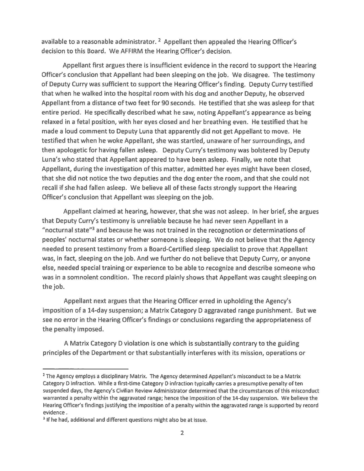available to a reasonable administrator.  $2$  Appellant then appealed the Hearing Officer's decision to this Board. We AFFIRM the Hearing Officer's decision.

Appellant first argues there is insufficient evidence in the record to support the Hearing Officer's conclusion that Appellant had been sleeping on the job. We disagree. The testimony of Deputy Curry was sufficient to support the Hearing Officer's finding. Deputy Curry testified that when he walked into the hospital room with his dog and another Deputy, he observed Appellant from a distance of two feet for 90 seconds. He testified that she was asleep for that entire period. He specifically described what he saw, noting Appellant's appearance as being relaxed in a fetal position, with her eyes closed and her breathing even. He testified that he made a loud comment to Deputy Luna that apparently did not get Appellant to move. He testified that when he woke Appellant, she was startled, unaware of her surroundings, and then apologetic for having fallen asleep. Deputy Curry's testimony was bolstered by Deputy Luna's who stated that Appellant appeared to have been asleep. Finally, we note that Appellant, during the investigation of this matter, admitted her eyes might have been closed, that she did not notice the two deputies and the dog enter the room, and that she could not recall if she had fallen asleep. We believe all of these facts strongly support the Hearing Officer's conclusion that Appellant was sleeping on the job.

Appellant claimed at hearing, however, that she was not asleep. In her brief, she argues that Deputy Curry's testimony is unreliable because he had never seen Appellant in a "nocturnal state"<sup>3</sup> and because he was not trained in the recognotion or determinations of peoples' nocturnal states or whether someone is sleeping. We do not believe that the Agency needed to present testimony from a Board-Certified sleep specialist to prove that Appellant was, in fact, sleeping on the job. And we further do not believe that Deputy Curry, or anyone else, needed special training or experience to be able to recognize and describe someone who was in a somnolent condition. The record plainly shows that Appellant was caught sleeping on the job.

Appellant next argues that the Hearing Officer erred in upholding the Agency's imposition of a 14-day suspension; a Matrix Category D aggravated range punishment. But we see no error in the Hearing Officer's findings or conclusions regarding the appropriateness of the penalty imposed.

A Matrix Category D violation is one which is substantially contrary to the guiding principles of the Department or that substantially interferes with its mission, operations or

<sup>&</sup>lt;sup>2</sup> The Agency employs a disciplinary Matrix. The Agency determined Appellant's misconduct to be a Matrix Category D infraction. While a first-time Category D infraction typically carries a presumptive penalty of ten suspended days, the Agency's Civilian Review Administrator determined that the circumstances of this misconduct warranted a penalty within the aggravated range; hence the imposition of the 14-day suspension. We believe the Hearing Officer's findings justifying the imposition of a penalty within the aggravated range is supported by record evidence.

<sup>&</sup>lt;sup>3</sup> If he had, additional and different questions might also be at issue.